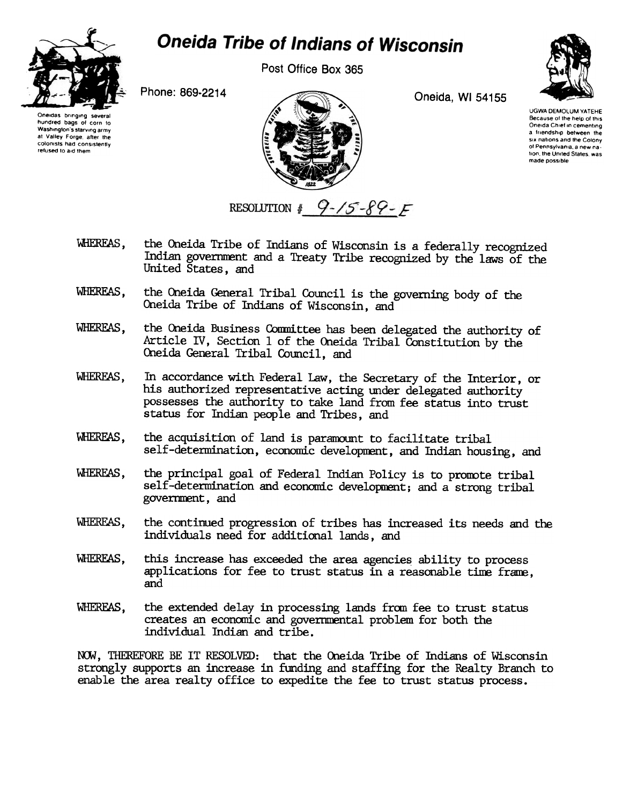

## **Oneida Tribe of Indians of Wisconsin**

Post Office Box 365

Oneida, WI 54155



Oneidas bringing several hundred bags of corn to Washington's starving army at Valley Forge, after the colonists had consistently refused to aid them

Phone: 869-2214



**UGWA DEMOLUM YATEHE** Because of the help of this Oneida Chief in cementing a friendship between the six nations and the Colony of Pennsylvania, a new nation, the United States, was

made possible

RESOLUTION #  $9-15-89-5$ 

- WHEREAS. the Oneida Tribe of Indians of Wisconsin is a federally recognized Indian government and a Treaty Tribe recognized by the laws of the United States, and
- the Oneida General Tribal Council is the governing body of the WHEREAS. Oneida Tribe of Indians of Wisconsin, and
- WHEREAS, the Oneida Business Committee has been delegated the authority of Article IV, Section 1 of the Oneida Tribal Constitution by the Oneida General Tribal Council, and
- WHEREAS. In accordance with Federal Law, the Secretary of the Interior, or his authorized representative acting under delegated authority possesses the authority to take land from fee status into trust status for Indian people and Tribes, and
- WHEREAS, the acquisition of land is paramount to facilitate tribal self-determination, economic development, and Indian housing, and
- **WHEREAS.** the principal goal of Federal Indian Policy is to promote tribal self-determination and economic development; and a strong tribal government, and
- WHEREAS. the continued progression of tribes has increased its needs and the individuals need for additional lands, and
- this increase has exceeded the area agencies ability to process WHEREAS. applications for fee to trust status in a reasonable time frame, and
- WHEREAS. the extended delay in processing lands from fee to trust status creates an economic and governmental problem for both the individual Indian and tribe.

NOW, THEREFORE BE IT RESOLVED: that the Oneida Tribe of Indians of Wisconsin strongly supports an increase in funding and staffing for the Realty Branch to enable the area realty office to expedite the fee to trust status process.